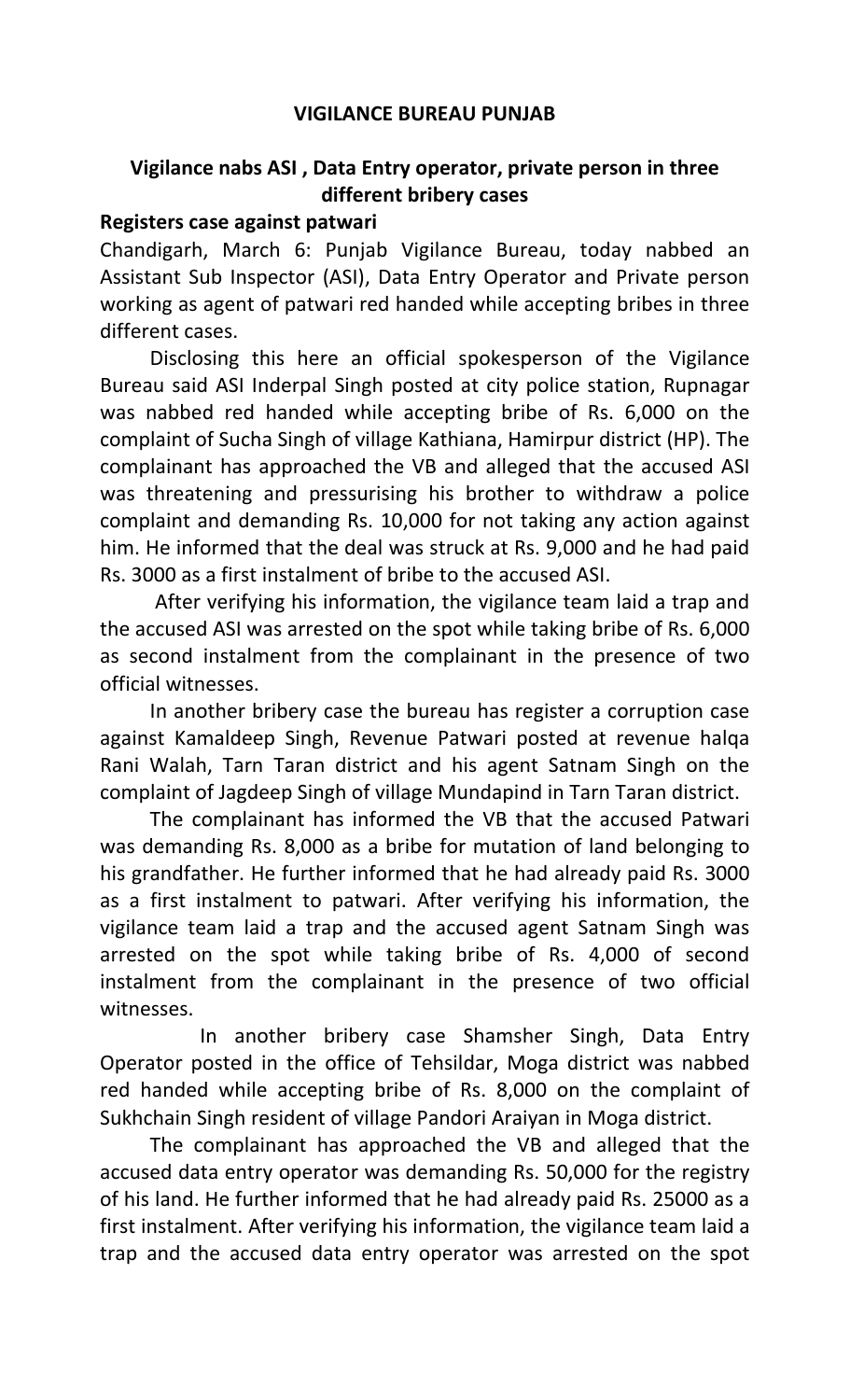## **VIGILANCE BUREAU PUNJAB**

# **Vigilance nabs ASI , Data Entry operator, private person in three different bribery cases**

## **Registers case against patwari**

Chandigarh, March 6: Punjab Vigilance Bureau, today nabbed an Assistant Sub Inspector (ASI), Data Entry Operator and Private person working as agent of patwari red handed while accepting bribes in three different cases.

Disclosing this here an official spokesperson of the Vigilance Bureau said ASI Inderpal Singh posted at city police station, Rupnagar was nabbed red handed while accepting bribe of Rs. 6,000 on the complaint of Sucha Singh of village Kathiana, Hamirpur district (HP). The complainant has approached the VB and alleged that the accused ASI was threatening and pressurising his brother to withdraw a police complaint and demanding Rs. 10,000 for not taking any action against him. He informed that the deal was struck at Rs. 9,000 and he had paid Rs. 3000 as a first instalment of bribe to the accused ASI.

 After verifying his information, the vigilance team laid a trap and the accused ASI was arrested on the spot while taking bribe of Rs. 6,000 as second instalment from the complainant in the presence of two official witnesses.

In another bribery case the bureau has register a corruption case against Kamaldeep Singh, Revenue Patwari posted at revenue halqa Rani Walah, Tarn Taran district and his agent Satnam Singh on the complaint of Jagdeep Singh of village Mundapind in Tarn Taran district.

The complainant has informed the VB that the accused Patwari was demanding Rs. 8,000 as a bribe for mutation of land belonging to his grandfather. He further informed that he had already paid Rs. 3000 as a first instalment to patwari. After verifying his information, the vigilance team laid a trap and the accused agent Satnam Singh was arrested on the spot while taking bribe of Rs. 4,000 of second instalment from the complainant in the presence of two official witnesses.

 In another bribery case Shamsher Singh, Data Entry Operator posted in the office of Tehsildar, Moga district was nabbed red handed while accepting bribe of Rs. 8,000 on the complaint of Sukhchain Singh resident of village Pandori Araiyan in Moga district.

The complainant has approached the VB and alleged that the accused data entry operator was demanding Rs. 50,000 for the registry of his land. He further informed that he had already paid Rs. 25000 as a first instalment. After verifying his information, the vigilance team laid a trap and the accused data entry operator was arrested on the spot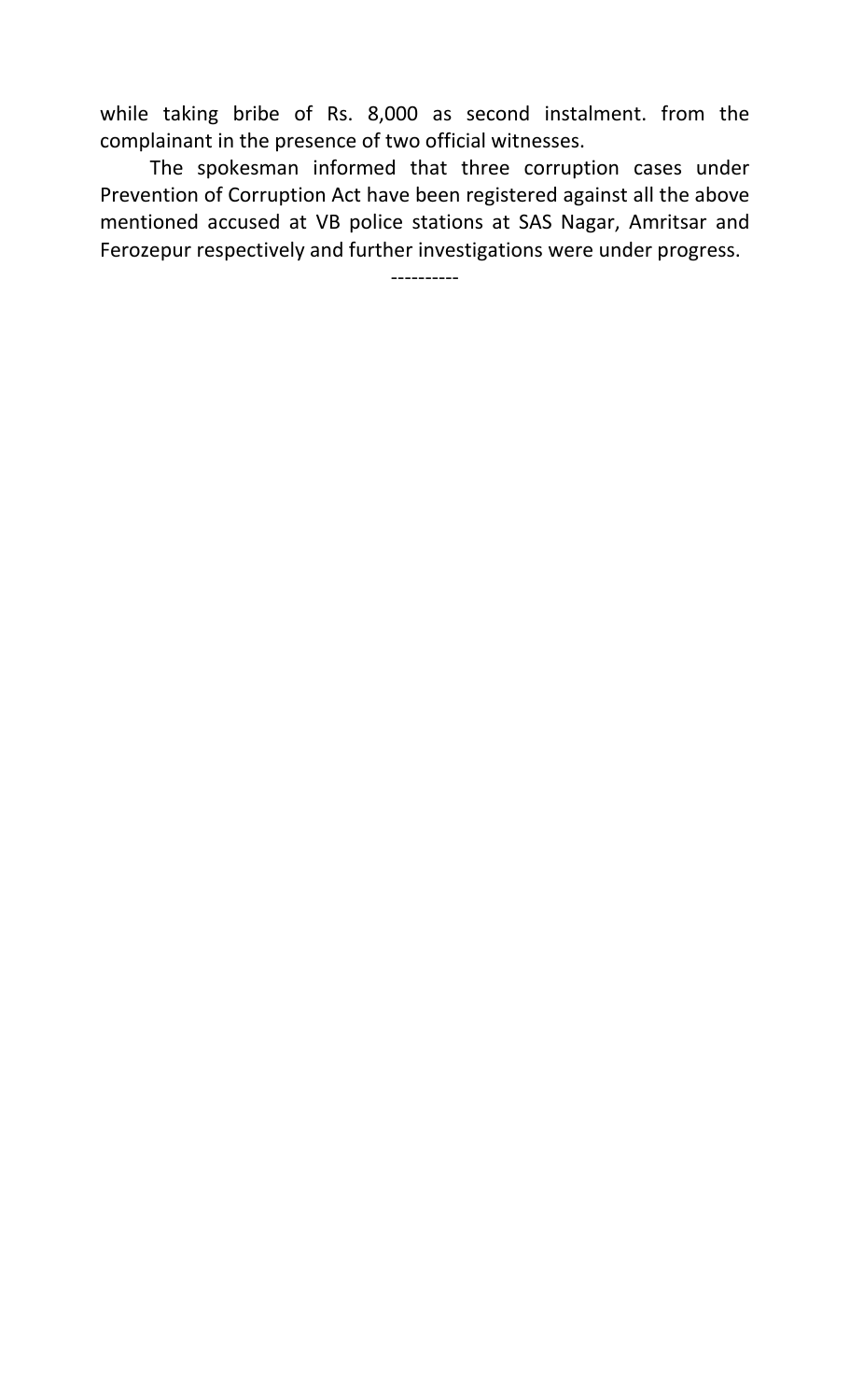while taking bribe of Rs. 8,000 as second instalment. from the complainant in the presence of two official witnesses.

 The spokesman informed that three corruption cases under Prevention of Corruption Act have been registered against all the above mentioned accused at VB police stations at SAS Nagar, Amritsar and Ferozepur respectively and further investigations were under progress.

----------